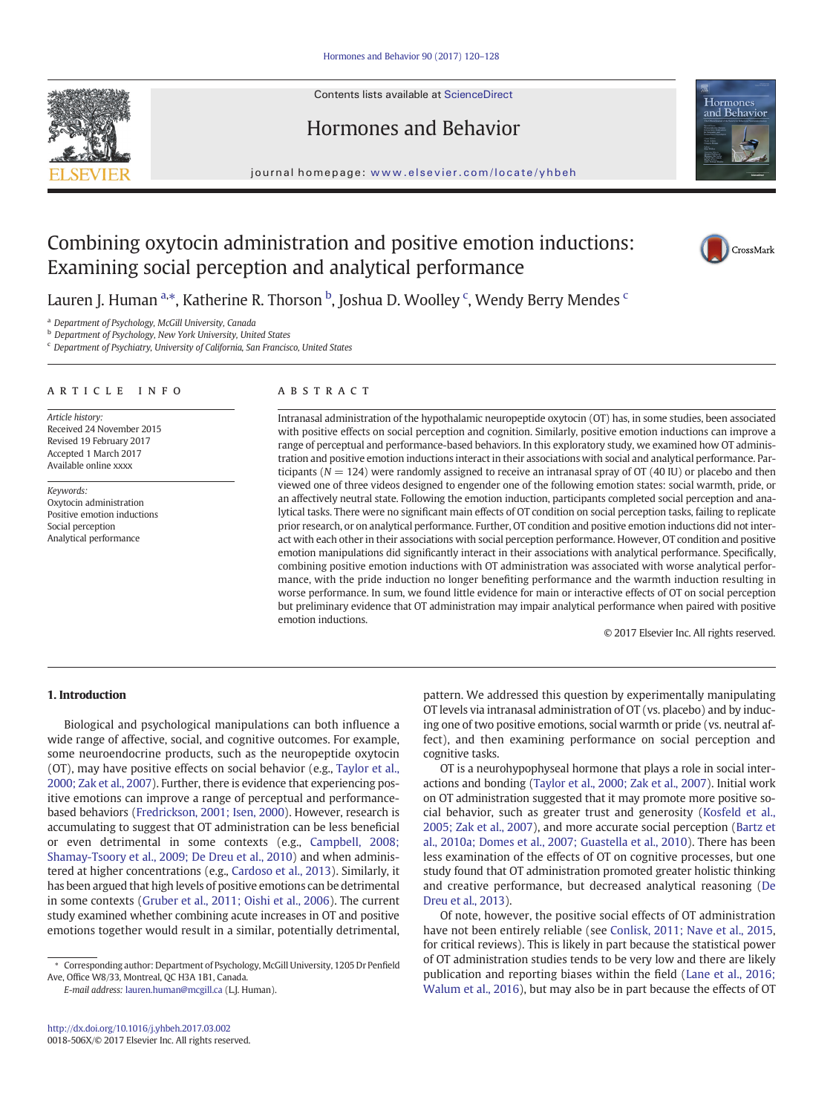

# Hormones and Behavior



#### journal homepage: <www.elsevier.com/locate/yhbeh>

# Combining oxytocin administration and positive emotion inductions: Examining social perception and analytical performance



L[a](#page-1-0)uren J. Human <sup>a,\*</sup>, Katherine R. Thorson <sup>[b](#page-1-0)</sup>, Joshua D. Woolley <sup>[c](#page-1-0)</sup>, Wendy Berry Mendes <sup>c</sup>

<sup>a</sup> Department of Psychology, McGill University, Canada

**b** Department of Psychology, New York University, United States

<sup>c</sup> Department of Psychiatry, University of California, San Francisco, United States

## article info abstract

Article history: Received 24 November 2015 Revised 19 February 2017 Accepted 1 March 2017 Available online xxxx

Keywords: Oxytocin administration Positive emotion inductions Social perception Analytical performance

Intranasal administration of the hypothalamic neuropeptide oxytocin (OT) has, in some studies, been associated with positive effects on social perception and cognition. Similarly, positive emotion inductions can improve a range of perceptual and performance-based behaviors. In this exploratory study, we examined how OT administration and positive emotion inductions interact in their associations with social and analytical performance. Participants ( $N = 124$ ) were randomly assigned to receive an intranasal spray of OT (40 IU) or placebo and then viewed one of three videos designed to engender one of the following emotion states: social warmth, pride, or an affectively neutral state. Following the emotion induction, participants completed social perception and analytical tasks. There were no significant main effects of OT condition on social perception tasks, failing to replicate prior research, or on analytical performance. Further, OT condition and positive emotion inductions did not interact with each other in their associations with social perception performance. However, OT condition and positive emotion manipulations did significantly interact in their associations with analytical performance. Specifically, combining positive emotion inductions with OT administration was associated with worse analytical performance, with the pride induction no longer benefiting performance and the warmth induction resulting in worse performance. In sum, we found little evidence for main or interactive effects of OT on social perception but preliminary evidence that OT administration may impair analytical performance when paired with positive emotion inductions.

© 2017 Elsevier Inc. All rights reserved.

# 1. Introduction

Biological and psychological manipulations can both influence a wide range of affective, social, and cognitive outcomes. For example, some neuroendocrine products, such as the neuropeptide oxytocin (OT), may have positive effects on social behavior (e.g., Taylor et al., 2000; Zak et al., 2007). Further, there is evidence that experiencing positive emotions can improve a range of perceptual and performancebased behaviors [\(Fredrickson, 2001; Isen, 2000\)](#page-8-0). However, research is accumulating to suggest that OT administration can be less beneficial or even detrimental in some contexts (e.g., [Campbell, 2008;](#page-8-0) [Shamay-Tsoory et al., 2009; De Dreu et al., 2010](#page-8-0)) and when administered at higher concentrations (e.g., [Cardoso et al., 2013\)](#page-8-0). Similarly, it has been argued that high levels of positive emotions can be detrimental in some contexts [\(Gruber et al., 2011; Oishi et al., 2006\)](#page-8-0). The current study examined whether combining acute increases in OT and positive emotions together would result in a similar, potentially detrimental,

E-mail address: [lauren.human@mcgill.ca](mailto:lauren.human@mcgill.ca) (L.J. Human).

pattern. We addressed this question by experimentally manipulating OT levels via intranasal administration of OT (vs. placebo) and by inducing one of two positive emotions, social warmth or pride (vs. neutral affect), and then examining performance on social perception and cognitive tasks.

OT is a neurohypophyseal hormone that plays a role in social interactions and bonding (Taylor et al., 2000; Zak et al., 2007). Initial work on OT administration suggested that it may promote more positive social behavior, such as greater trust and generosity (Kosfeld et al., 2005; Zak et al., 2007), and more accurate social perception ([Bartz et](#page-8-0) [al., 2010a; Domes et al., 2007; Guastella et al., 2010\)](#page-8-0). There has been less examination of the effects of OT on cognitive processes, but one study found that OT administration promoted greater holistic thinking and creative performance, but decreased analytical reasoning ([De](#page-8-0) [Dreu et al., 2013\)](#page-8-0).

Of note, however, the positive social effects of OT administration have not been entirely reliable (see [Conlisk, 2011; Nave et al., 2015,](#page-8-0) for critical reviews). This is likely in part because the statistical power of OT administration studies tends to be very low and there are likely publication and reporting biases within the field (Lane et al., 2016; Walum et al., 2016), but may also be in part because the effects of OT

<sup>⁎</sup> Corresponding author: Department of Psychology, McGill University, 1205 Dr Penfield Ave, Office W8/33, Montreal, QC H3A 1B1, Canada.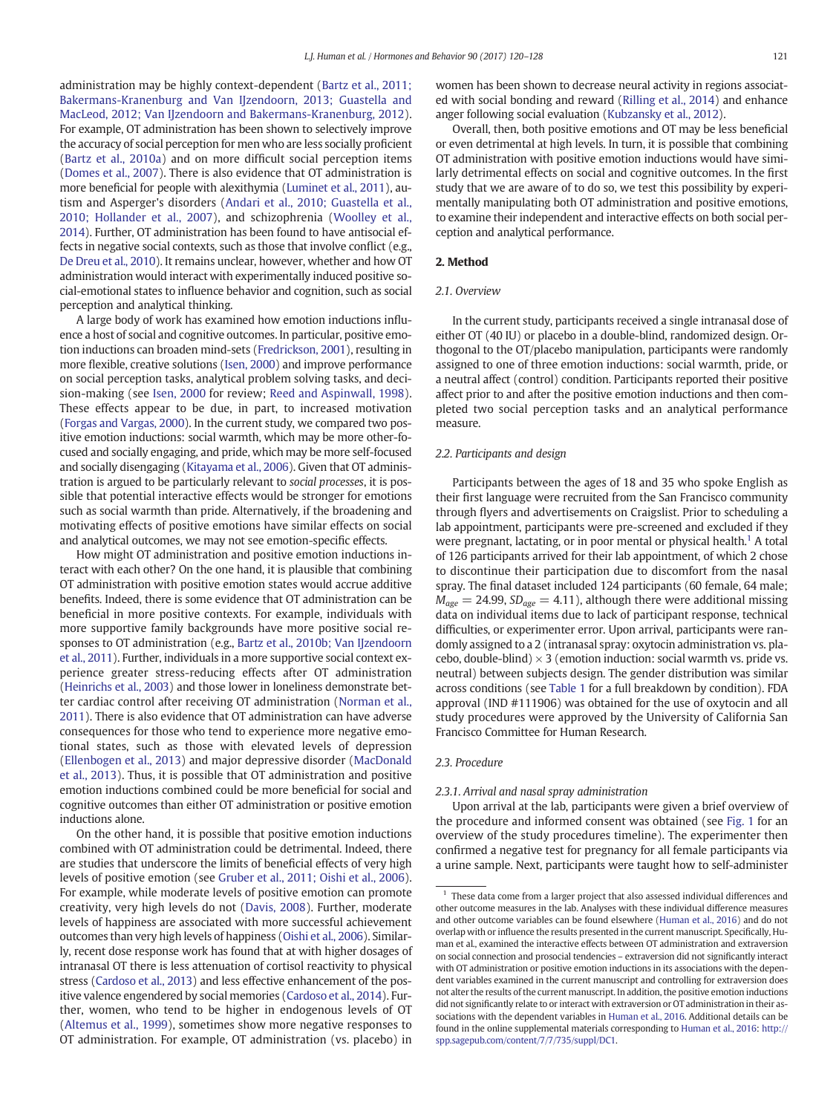<span id="page-1-0"></span>administration may be highly context-dependent [\(Bartz et al., 2011;](#page-8-0) [Bakermans-Kranenburg and Van IJzendoorn, 2013; Guastella and](#page-8-0) [MacLeod, 2012; Van IJzendoorn and Bakermans-Kranenburg, 2012](#page-8-0)). For example, OT administration has been shown to selectively improve the accuracy of social perception for men who are less socially proficient [\(Bartz et al., 2010a](#page-8-0)) and on more difficult social perception items [\(Domes et al., 2007](#page-8-0)). There is also evidence that OT administration is more beneficial for people with alexithymia (Luminet et al., 2011), autism and Asperger's disorders ([Andari et al., 2010; Guastella et al.,](#page-8-0) [2010; Hollander et al., 2007\)](#page-8-0), and schizophrenia (Woolley et al., 2014). Further, OT administration has been found to have antisocial effects in negative social contexts, such as those that involve conflict (e.g., [De Dreu et al., 2010\)](#page-8-0). It remains unclear, however, whether and how OT administration would interact with experimentally induced positive social-emotional states to influence behavior and cognition, such as social perception and analytical thinking.

A large body of work has examined how emotion inductions influence a host of social and cognitive outcomes. In particular, positive emotion inductions can broaden mind-sets ([Fredrickson, 2001](#page-8-0)), resulting in more flexible, creative solutions [\(Isen, 2000](#page-8-0)) and improve performance on social perception tasks, analytical problem solving tasks, and decision-making (see [Isen, 2000](#page-8-0) for review; Reed and Aspinwall, 1998). These effects appear to be due, in part, to increased motivation [\(Forgas and Vargas, 2000](#page-8-0)). In the current study, we compared two positive emotion inductions: social warmth, which may be more other-focused and socially engaging, and pride, which may be more self-focused and socially disengaging [\(Kitayama et al., 2006\)](#page-8-0). Given that OT administration is argued to be particularly relevant to social processes, it is possible that potential interactive effects would be stronger for emotions such as social warmth than pride. Alternatively, if the broadening and motivating effects of positive emotions have similar effects on social and analytical outcomes, we may not see emotion-specific effects.

How might OT administration and positive emotion inductions interact with each other? On the one hand, it is plausible that combining OT administration with positive emotion states would accrue additive benefits. Indeed, there is some evidence that OT administration can be beneficial in more positive contexts. For example, individuals with more supportive family backgrounds have more positive social responses to OT administration (e.g., [Bartz et al., 2010b; Van IJzendoorn](#page-8-0) [et al., 2011](#page-8-0)). Further, individuals in a more supportive social context experience greater stress-reducing effects after OT administration [\(Heinrichs et al., 2003](#page-8-0)) and those lower in loneliness demonstrate better cardiac control after receiving OT administration (Norman et al., 2011). There is also evidence that OT administration can have adverse consequences for those who tend to experience more negative emotional states, such as those with elevated levels of depression [\(Ellenbogen et al., 2013](#page-8-0)) and major depressive disorder (MacDonald et al., 2013). Thus, it is possible that OT administration and positive emotion inductions combined could be more beneficial for social and cognitive outcomes than either OT administration or positive emotion inductions alone.

On the other hand, it is possible that positive emotion inductions combined with OT administration could be detrimental. Indeed, there are studies that underscore the limits of beneficial effects of very high levels of positive emotion (see [Gruber et al., 2011; Oishi et al., 2006](#page-8-0)). For example, while moderate levels of positive emotion can promote creativity, very high levels do not ([Davis, 2008](#page-8-0)). Further, moderate levels of happiness are associated with more successful achievement outcomes than very high levels of happiness (Oishi et al., 2006). Similarly, recent dose response work has found that at with higher dosages of intranasal OT there is less attenuation of cortisol reactivity to physical stress [\(Cardoso et al., 2013](#page-8-0)) and less effective enhancement of the positive valence engendered by social memories [\(Cardoso et al., 2014\)](#page-8-0). Further, women, who tend to be higher in endogenous levels of OT [\(Altemus et al., 1999\)](#page-8-0), sometimes show more negative responses to OT administration. For example, OT administration (vs. placebo) in

women has been shown to decrease neural activity in regions associated with social bonding and reward (Rilling et al., 2014) and enhance anger following social evaluation (Kubzansky et al., 2012).

Overall, then, both positive emotions and OT may be less beneficial or even detrimental at high levels. In turn, it is possible that combining OT administration with positive emotion inductions would have similarly detrimental effects on social and cognitive outcomes. In the first study that we are aware of to do so, we test this possibility by experimentally manipulating both OT administration and positive emotions, to examine their independent and interactive effects on both social perception and analytical performance.

#### 2. Method

# 2.1. Overview

In the current study, participants received a single intranasal dose of either OT (40 IU) or placebo in a double-blind, randomized design. Orthogonal to the OT/placebo manipulation, participants were randomly assigned to one of three emotion inductions: social warmth, pride, or a neutral affect (control) condition. Participants reported their positive affect prior to and after the positive emotion inductions and then completed two social perception tasks and an analytical performance measure.

# 2.2. Participants and design

Participants between the ages of 18 and 35 who spoke English as their first language were recruited from the San Francisco community through flyers and advertisements on Craigslist. Prior to scheduling a lab appointment, participants were pre-screened and excluded if they were pregnant, lactating, or in poor mental or physical health.<sup>1</sup> A total of 126 participants arrived for their lab appointment, of which 2 chose to discontinue their participation due to discomfort from the nasal spray. The final dataset included 124 participants (60 female, 64 male;  $M_{age} = 24.99$ ,  $SD_{age} = 4.11$ ), although there were additional missing data on individual items due to lack of participant response, technical difficulties, or experimenter error. Upon arrival, participants were randomly assigned to a 2 (intranasal spray: oxytocin administration vs. placebo, double-blind)  $\times$  3 (emotion induction: social warmth vs. pride vs. neutral) between subjects design. The gender distribution was similar across conditions (see [Table 1](#page-3-0) for a full breakdown by condition). FDA approval (IND #111906) was obtained for the use of oxytocin and all study procedures were approved by the University of California San Francisco Committee for Human Research.

#### 2.3. Procedure

## 2.3.1. Arrival and nasal spray administration

Upon arrival at the lab, participants were given a brief overview of the procedure and informed consent was obtained (see [Fig. 1](#page-3-0) for an overview of the study procedures timeline). The experimenter then confirmed a negative test for pregnancy for all female participants via a urine sample. Next, participants were taught how to self-administer

<sup>1</sup> These data come from a larger project that also assessed individual differences and other outcome measures in the lab. Analyses with these individual difference measures and other outcome variables can be found elsewhere [\(Human et al., 2016](#page-8-0)) and do not overlap with or influence the results presented in the current manuscript. Specifically, Human et al., examined the interactive effects between OT administration and extraversion on social connection and prosocial tendencies – extraversion did not significantly interact with OT administration or positive emotion inductions in its associations with the dependent variables examined in the current manuscript and controlling for extraversion does not alter the results of the current manuscript. In addition, the positive emotion inductions did not significantly relate to or interact with extraversion or OT administration in their associations with the dependent variables in [Human et al., 2016.](#page-8-0) Additional details can be found in the online supplemental materials corresponding to [Human et al., 2016](#page-8-0): [http://](http://spp.sagepub.com/content/7/7/735/suppl/DC1) [spp.sagepub.com/content/7/7/735/suppl/DC1.](http://spp.sagepub.com/content/7/7/735/suppl/DC1)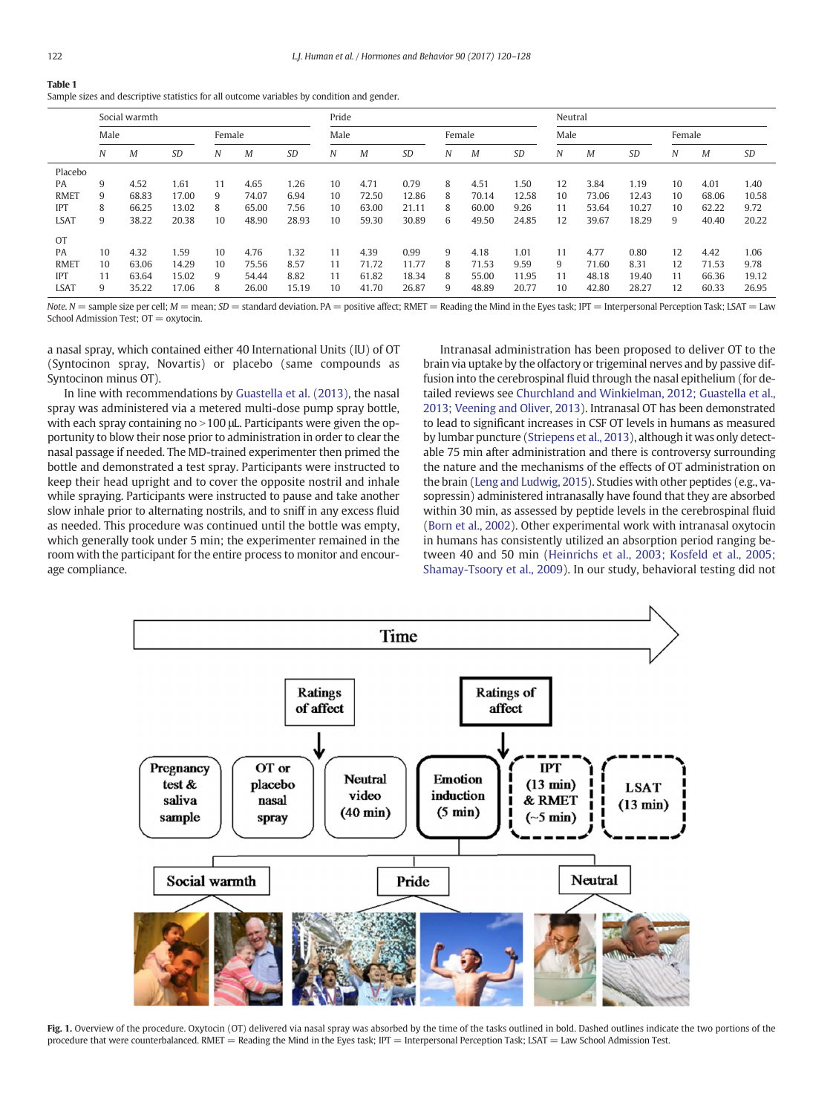# Table 1

| Sample sizes and descriptive statistics for all outcome variables by condition and gender. |  |  |
|--------------------------------------------------------------------------------------------|--|--|
|                                                                                            |  |  |

|             | Social warmth |       |           |        |       |           | Pride |        |           |      |       |           | Neutral |       |           |    |       |       |
|-------------|---------------|-------|-----------|--------|-------|-----------|-------|--------|-----------|------|-------|-----------|---------|-------|-----------|----|-------|-------|
|             | Male          |       |           | Female |       | Male      |       | Female |           | Male |       |           | Female  |       |           |    |       |       |
|             | Ν             | M     | <b>SD</b> | N      | M     | <b>SD</b> | N     | M      | <b>SD</b> | N    | M     | <b>SD</b> | Ν       | M     | <b>SD</b> | N  | M     | SD    |
| Placebo     |               |       |           |        |       |           |       |        |           |      |       |           |         |       |           |    |       |       |
| PA          | 9             | 4.52  | 1.61      | 11     | 4.65  | 1.26      | 10    | 4.71   | 0.79      | 8    | 4.51  | 1.50      | 12      | 3.84  | 1.19      | 10 | 4.01  | 1.40  |
| <b>RMET</b> | 9             | 68.83 | 17.00     | 9      | 74.07 | 6.94      | 10    | 72.50  | 12.86     | 8    | 70.14 | 12.58     | 10      | 73.06 | 12.43     | 10 | 68.06 | 10.58 |
| <b>IPT</b>  | 8             | 66.25 | 13.02     | 8      | 65.00 | 7.56      | 10    | 63.00  | 21.11     | 8    | 60.00 | 9.26      | 11      | 53.64 | 10.27     | 10 | 62.22 | 9.72  |
| <b>LSAT</b> | 9             | 38.22 | 20.38     | 10     | 48.90 | 28.93     | 10    | 59.30  | 30.89     | 6    | 49.50 | 24.85     | 12      | 39.67 | 18.29     | 9  | 40.40 | 20.22 |
| <b>OT</b>   |               |       |           |        |       |           |       |        |           |      |       |           |         |       |           |    |       |       |
| PA          | 10            | 4.32  | .59       | 10     | 4.76  | 1.32      | 11    | 4.39   | 0.99      | 9    | 4.18  | 1.01      | 11      | 4.77  | 0.80      | 12 | 4.42  | 1.06  |
| <b>RMET</b> | 10            | 63.06 | 14.29     | 10     | 75.56 | 8.57      | 11    | 71.72  | 11.77     | 8    | 71.53 | 9.59      | 9       | 71.60 | 8.31      | 12 | 71.53 | 9.78  |
| <b>IPT</b>  | 11            | 63.64 | 15.02     | 9      | 54.44 | 8.82      | 11    | 61.82  | 18.34     | 8    | 55.00 | 11.95     | 11      | 48.18 | 19.40     | 11 | 66.36 | 19.12 |
| <b>LSAT</b> | 9             | 35.22 | 17.06     | 8      | 26.00 | 15.19     | 10    | 41.70  | 26.87     | 9    | 48.89 | 20.77     | 10      | 42.80 | 28.27     | 12 | 60.33 | 26.95 |

Note. N = sample size per cell;  $M$  = mean;  $SD$  = standard deviation. PA = positive affect; RMET = Reading the Mind in the Eyes task; IPT = Interpersonal Perception Task; LSAT = Law School Admission Test; OT = oxytocin.

a nasal spray, which contained either 40 International Units (IU) of OT (Syntocinon spray, Novartis) or placebo (same compounds as Syntocinon minus OT).

In line with recommendations by [Guastella et al. \(2013\)](#page-8-0), the nasal spray was administered via a metered multi-dose pump spray bottle, with each spray containing  $no > 100$   $\mu$ . Participants were given the opportunity to blow their nose prior to administration in order to clear the nasal passage if needed. The MD-trained experimenter then primed the bottle and demonstrated a test spray. Participants were instructed to keep their head upright and to cover the opposite nostril and inhale while spraying. Participants were instructed to pause and take another slow inhale prior to alternating nostrils, and to sniff in any excess fluid as needed. This procedure was continued until the bottle was empty, which generally took under 5 min; the experimenter remained in the room with the participant for the entire process to monitor and encourage compliance.

Intranasal administration has been proposed to deliver OT to the brain via uptake by the olfactory or trigeminal nerves and by passive diffusion into the cerebrospinal fluid through the nasal epithelium (for detailed reviews see [Churchland and Winkielman, 2012; Guastella et al.,](#page-8-0) [2013; Veening and Oliver, 2013\)](#page-8-0). Intranasal OT has been demonstrated to lead to significant increases in CSF OT levels in humans as measured by lumbar puncture (Striepens et al., 2013), although it was only detectable 75 min after administration and there is controversy surrounding the nature and the mechanisms of the effects of OT administration on the brain (Leng and Ludwig, 2015). Studies with other peptides (e.g., vasopressin) administered intranasally have found that they are absorbed within 30 min, as assessed by peptide levels in the cerebrospinal fluid [\(Born et al., 2002\)](#page-8-0). Other experimental work with intranasal oxytocin in humans has consistently utilized an absorption period ranging between 40 and 50 min ([Heinrichs et al., 2003; Kosfeld et al., 2005;](#page-8-0) [Shamay-Tsoory et al., 2009](#page-8-0)). In our study, behavioral testing did not



Fig. 1. Overview of the procedure. Oxytocin (OT) delivered via nasal spray was absorbed by the time of the tasks outlined in bold. Dashed outlines indicate the two portions of the procedure that were counterbalanced. RMET = Reading the Mind in the Eyes task; IPT = Interpersonal Perception Task; LSAT = Law School Admission Test.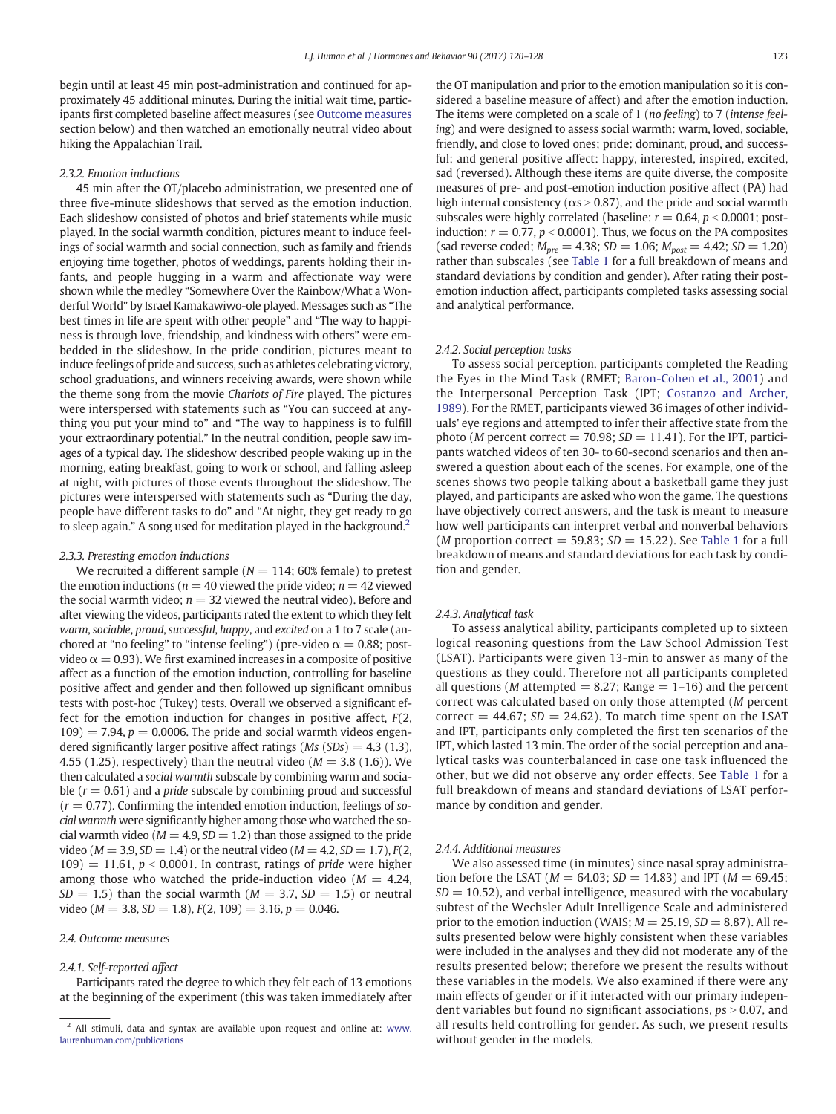<span id="page-3-0"></span>begin until at least 45 min post-administration and continued for approximately 45 additional minutes. During the initial wait time, participants first completed baseline affect measures (see [Outcome measures](#page-4-0) section below) and then watched an emotionally neutral video about hiking the Appalachian Trail.

## 2.3.2. Emotion inductions

45 min after the OT/placebo administration, we presented one of three five-minute slideshows that served as the emotion induction. Each slideshow consisted of photos and brief statements while music played. In the social warmth condition, pictures meant to induce feelings of social warmth and social connection, such as family and friends enjoying time together, photos of weddings, parents holding their infants, and people hugging in a warm and affectionate way were shown while the medley "Somewhere Over the Rainbow/What a Wonderful World" by Israel Kamakawiwo-ole played. Messages such as "The best times in life are spent with other people" and "The way to happiness is through love, friendship, and kindness with others" were embedded in the slideshow. In the pride condition, pictures meant to induce feelings of pride and success, such as athletes celebrating victory, school graduations, and winners receiving awards, were shown while the theme song from the movie Chariots of Fire played. The pictures were interspersed with statements such as "You can succeed at anything you put your mind to" and "The way to happiness is to fulfill your extraordinary potential." In the neutral condition, people saw images of a typical day. The slideshow described people waking up in the morning, eating breakfast, going to work or school, and falling asleep at night, with pictures of those events throughout the slideshow. The pictures were interspersed with statements such as "During the day, people have different tasks to do" and "At night, they get ready to go to sleep again." A song used for meditation played in the background.<sup>2</sup>

#### 2.3.3. Pretesting emotion inductions

We recruited a different sample ( $N = 114$ ; 60% female) to pretest the emotion inductions ( $n = 40$  viewed the pride video;  $n = 42$  viewed the social warmth video;  $n = 32$  viewed the neutral video). Before and after viewing the videos, participants rated the extent to which they felt warm, sociable, proud, successful, happy, and excited on a 1 to 7 scale (anchored at "no feeling" to "intense feeling") (pre-video  $\alpha = 0.88$ ; postvideo  $\alpha = 0.93$ ). We first examined increases in a composite of positive affect as a function of the emotion induction, controlling for baseline positive affect and gender and then followed up significant omnibus tests with post-hoc (Tukey) tests. Overall we observed a significant effect for the emotion induction for changes in positive affect,  $F(2, 1)$  $109$  = 7.94,  $p = 0.0006$ . The pride and social warmth videos engendered significantly larger positive affect ratings ( $Ms(SDs) = 4.3$  (1.3), 4.55 (1.25), respectively) than the neutral video ( $M = 3.8$  (1.6)). We then calculated a social warmth subscale by combining warm and sociable  $(r = 0.61)$  and a *pride* subscale by combining proud and successful  $(r = 0.77)$ . Confirming the intended emotion induction, feelings of social warmth were significantly higher among those who watched the social warmth video ( $M = 4.9$ ,  $SD = 1.2$ ) than those assigned to the pride video ( $M = 3.9$ ,  $SD = 1.4$ ) or the neutral video ( $M = 4.2$ ,  $SD = 1.7$ ),  $F(2, 1.4)$  $109$ ) = 11.61,  $p < 0.0001$ . In contrast, ratings of pride were higher among those who watched the pride-induction video ( $M = 4.24$ ,  $SD = 1.5$ ) than the social warmth ( $M = 3.7$ ,  $SD = 1.5$ ) or neutral video ( $M = 3.8$ ,  $SD = 1.8$ ),  $F(2, 109) = 3.16$ ,  $p = 0.046$ .

# 2.4. Outcome measures

#### 2.4.1. Self-reported affect

Participants rated the degree to which they felt each of 13 emotions at the beginning of the experiment (this was taken immediately after the OT manipulation and prior to the emotion manipulation so it is considered a baseline measure of affect) and after the emotion induction. The items were completed on a scale of 1 (no feeling) to 7 (intense feeling) and were designed to assess social warmth: warm, loved, sociable, friendly, and close to loved ones; pride: dominant, proud, and successful; and general positive affect: happy, interested, inspired, excited, sad (reversed). Although these items are quite diverse, the composite measures of pre- and post-emotion induction positive affect (PA) had high internal consistency ( $\alpha$ s > 0.87), and the pride and social warmth subscales were highly correlated (baseline:  $r = 0.64$ ,  $p < 0.0001$ ; postinduction:  $r = 0.77$ ,  $p < 0.0001$ ). Thus, we focus on the PA composites (sad reverse coded;  $M_{pre} = 4.38$ ;  $SD = 1.06$ ;  $M_{post} = 4.42$ ;  $SD = 1.20$ ) rather than subscales (see Table 1 for a full breakdown of means and standard deviations by condition and gender). After rating their postemotion induction affect, participants completed tasks assessing social and analytical performance.

#### 2.4.2. Social perception tasks

To assess social perception, participants completed the Reading the Eyes in the Mind Task (RMET; [Baron-Cohen et al., 2001](#page-8-0)) and the Interpersonal Perception Task (IPT; [Costanzo and Archer,](#page-8-0) [1989](#page-8-0)). For the RMET, participants viewed 36 images of other individuals' eye regions and attempted to infer their affective state from the photo (*M* percent correct = 70.98;  $SD = 11.41$ ). For the IPT, participants watched videos of ten 30- to 60-second scenarios and then answered a question about each of the scenes. For example, one of the scenes shows two people talking about a basketball game they just played, and participants are asked who won the game. The questions have objectively correct answers, and the task is meant to measure how well participants can interpret verbal and nonverbal behaviors (*M* proportion correct  $=$  59.83; *SD*  $=$  15.22). See Table 1 for a full breakdown of means and standard deviations for each task by condition and gender.

#### 2.4.3. Analytical task

To assess analytical ability, participants completed up to sixteen logical reasoning questions from the Law School Admission Test (LSAT). Participants were given 13-min to answer as many of the questions as they could. Therefore not all participants completed all questions (*M* attempted  $= 8.27$ ; Range  $= 1-16$ ) and the percent correct was calculated based on only those attempted (M percent correct  $= 44.67$ ; SD  $= 24.62$ ). To match time spent on the LSAT and IPT, participants only completed the first ten scenarios of the IPT, which lasted 13 min. The order of the social perception and analytical tasks was counterbalanced in case one task influenced the other, but we did not observe any order effects. See Table 1 for a full breakdown of means and standard deviations of LSAT performance by condition and gender.

#### 2.4.4. Additional measures

We also assessed time (in minutes) since nasal spray administration before the LSAT ( $M = 64.03$ ;  $SD = 14.83$ ) and IPT ( $M = 69.45$ ;  $SD = 10.52$ ), and verbal intelligence, measured with the vocabulary subtest of the Wechsler Adult Intelligence Scale and administered prior to the emotion induction (WAIS;  $M = 25.19$ ,  $SD = 8.87$ ). All results presented below were highly consistent when these variables were included in the analyses and they did not moderate any of the results presented below; therefore we present the results without these variables in the models. We also examined if there were any main effects of gender or if it interacted with our primary independent variables but found no significant associations,  $ps > 0.07$ , and all results held controlling for gender. As such, we present results without gender in the models.

<sup>&</sup>lt;sup>2</sup> All stimuli, data and syntax are available upon request and online at: [www.](www.laurenhuman.com/publications) [laurenhuman.com/publications](www.laurenhuman.com/publications)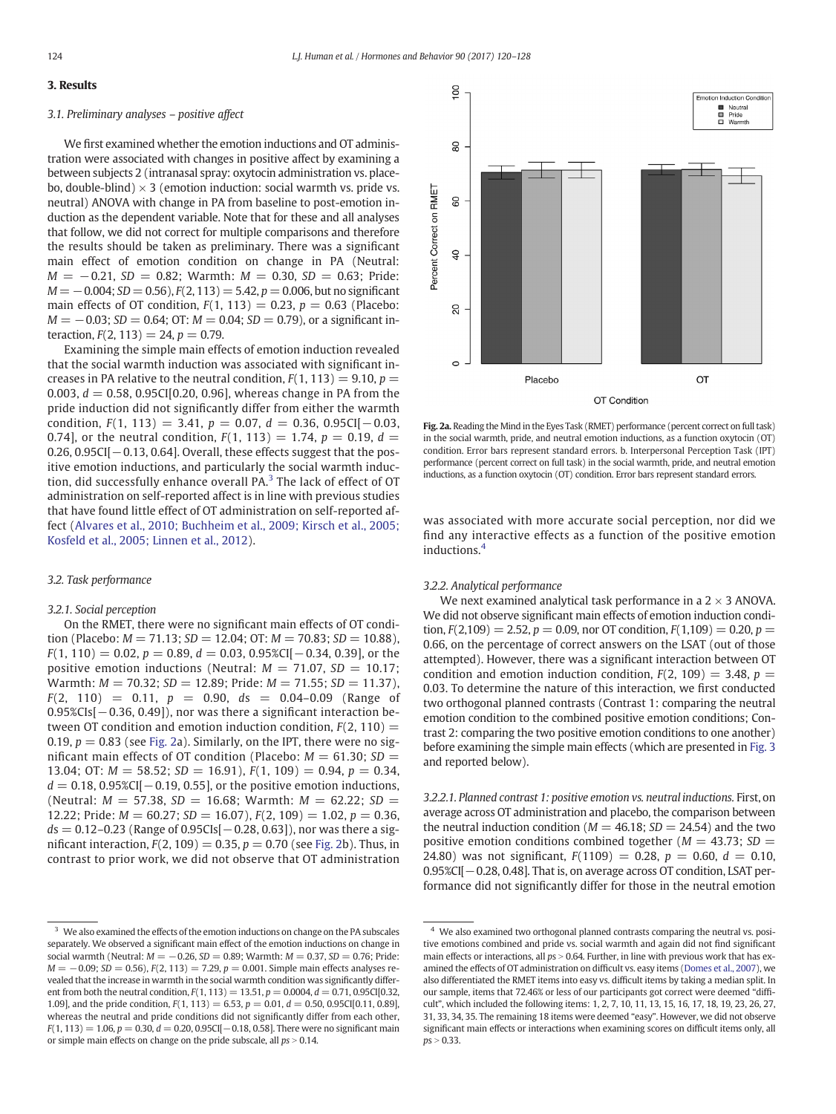# <span id="page-4-0"></span>3. Results

## 3.1. Preliminary analyses – positive affect

We first examined whether the emotion inductions and OT administration were associated with changes in positive affect by examining a between subjects 2 (intranasal spray: oxytocin administration vs. placebo, double-blind)  $\times$  3 (emotion induction: social warmth vs. pride vs. neutral) ANOVA with change in PA from baseline to post-emotion induction as the dependent variable. Note that for these and all analyses that follow, we did not correct for multiple comparisons and therefore the results should be taken as preliminary. There was a significant main effect of emotion condition on change in PA (Neutral:  $M = -0.21$ , SD = 0.82; Warmth:  $M = 0.30$ , SD = 0.63; Pride:  $M = -0.004$ ; SD = 0.56),  $F(2, 113) = 5.42$ ,  $p = 0.006$ , but no significant main effects of OT condition,  $F(1, 113) = 0.23$ ,  $p = 0.63$  (Placebo:  $M = -0.03$ ; SD = 0.64; OT:  $M = 0.04$ ; SD = 0.79), or a significant interaction,  $F(2, 113) = 24$ ,  $p = 0.79$ .

Examining the simple main effects of emotion induction revealed that the social warmth induction was associated with significant increases in PA relative to the neutral condition,  $F(1, 113) = 9.10$ ,  $p =$ 0.003,  $d = 0.58$ , 0.95CI[0.20, 0.96], whereas change in PA from the pride induction did not significantly differ from either the warmth condition,  $F(1, 113) = 3.41$ ,  $p = 0.07$ ,  $d = 0.36$ ,  $0.95CI[-0.03]$ , 0.74], or the neutral condition,  $F(1, 113) = 1.74$ ,  $p = 0.19$ ,  $d =$  $0.26$ ,  $0.95$ CI[ $-0.13$ ,  $0.64$ ]. Overall, these effects suggest that the positive emotion inductions, and particularly the social warmth induction, did successfully enhance overall PA.<sup>3</sup> The lack of effect of OT administration on self-reported affect is in line with previous studies that have found little effect of OT administration on self-reported affect ([Alvares et al., 2010; Buchheim et](#page-8-0) al., 2009; Kirsch et al., 2005; [Kosfeld et al., 2005; Linnen et al., 2012\)](#page-8-0).

#### 3.2. Task performance

# 3.2.1. Social perception

On the RMET, there were no significant main effects of OT condition (Placebo:  $M = 71.13$ ;  $SD = 12.04$ ; OT:  $M = 70.83$ ;  $SD = 10.88$ ),  $F(1, 110) = 0.02$ ,  $p = 0.89$ ,  $d = 0.03$ ,  $0.95\%$ CI[ $-0.34$ , 0.39], or the positive emotion inductions (Neutral:  $M = 71.07$ ,  $SD = 10.17$ ; Warmth:  $M = 70.32$ ;  $SD = 12.89$ ; Pride:  $M = 71.55$ ;  $SD = 11.37$ ),  $F(2, 110) = 0.11$ ,  $p = 0.90$ ,  $ds = 0.04 - 0.09$  (Range of 0.95%CIs[−0.36, 0.49]), nor was there a significant interaction between OT condition and emotion induction condition,  $F(2, 110) =$ 0.19,  $p = 0.83$  (see [Fig. 2](#page-5-0)a). Similarly, on the IPT, there were no significant main effects of OT condition (Placebo:  $M = 61.30$ ; SD = 13.04; OT:  $M = 58.52$ ;  $SD = 16.91$ ),  $F(1, 109) = 0.94$ ,  $p = 0.34$ ,  $d = 0.18$ , 0.95%CI[ $-0.19$ , 0.55], or the positive emotion inductions, (Neutral:  $M = 57.38$ ,  $SD = 16.68$ ; Warmth:  $M = 62.22$ ;  $SD =$ 12.22; Pride:  $M = 60.27$ ;  $SD = 16.07$ ),  $F(2, 109) = 1.02$ ,  $p = 0.36$ ,  $ds = 0.12 - 0.23$  (Range of 0.95CIs[ $-0.28, 0.63$ ]), nor was there a significant interaction,  $F(2, 109) = 0.35$ ,  $p = 0.70$  (see [Fig. 2](#page-6-0)b). Thus, in contrast to prior work, we did not observe that OT administration



Fig. 2a. Reading the Mind in the Eyes Task (RMET) performance (percent correct on full task) in the social warmth, pride, and neutral emotion inductions, as a function oxytocin (OT) condition. Error bars represent standard errors. b. Interpersonal Perception Task (IPT) performance (percent correct on full task) in the social warmth, pride, and neutral emotion inductions, as a function oxytocin (OT) condition. Error bars represent standard errors.

was associated with more accurate social perception, nor did we find any interactive effects as a function of the positive emotion inductions.<sup>4</sup>

## 3.2.2. Analytical performance

We next examined analytical task performance in a  $2 \times 3$  ANOVA. We did not observe significant main effects of emotion induction condition,  $F(2,109) = 2.52$ ,  $p = 0.09$ , nor OT condition,  $F(1,109) = 0.20$ ,  $p =$ 0.66, on the percentage of correct answers on the LSAT (out of those attempted). However, there was a significant interaction between OT condition and emotion induction condition,  $F(2, 109) = 3.48$ ,  $p =$ 0.03. To determine the nature of this interaction, we first conducted two orthogonal planned contrasts (Contrast 1: comparing the neutral emotion condition to the combined positive emotion conditions; Contrast 2: comparing the two positive emotion conditions to one another) before examining the simple main effects (which are presented in [Fig. 3](#page-6-0) and reported below).

3.2.2.1. Planned contrast 1: positive emotion vs. neutral inductions. First, on average across OT administration and placebo, the comparison between the neutral induction condition ( $M = 46.18$ ;  $SD = 24.54$ ) and the two positive emotion conditions combined together ( $M = 43.73$ ; SD = 24.80) was not significant,  $F(1109) = 0.28$ ,  $p = 0.60$ ,  $d = 0.10$ , 0.95%CI[−0.28, 0.48]. That is, on average across OT condition, LSAT performance did not significantly differ for those in the neutral emotion

<sup>&</sup>lt;sup>3</sup> We also examined the effects of the emotion inductions on change on the PA subscales separately. We observed a significant main effect of the emotion inductions on change in social warmth (Neutral:  $M = -0.26$ ,  $SD = 0.89$ ; Warmth:  $M = 0.37$ ,  $SD = 0.76$ ; Pride:  $M = -0.09$ ; SD = 0.56), F(2, 113) = 7.29, p = 0.001. Simple main effects analyses revealed that the increase in warmth in the social warmth condition was significantly different from both the neutral condition,  $F(1, 113) = 13.51$ ,  $p = 0.0004$ ,  $d = 0.71$ , 0.95CI[0.32, 1.09], and the pride condition,  $F(1, 113) = 6.53$ ,  $p = 0.01$ ,  $d = 0.50$ , 0.95CI[0.11, 0.89], whereas the neutral and pride conditions did not significantly differ from each other,  $F(1, 113) = 1.06$ ,  $p = 0.30$ ,  $d = 0.20$ , 0.95CI[ $-0.18$ , 0.58]. There were no significant main or simple main effects on change on the pride subscale, all  $ps > 0.14$ .

<sup>&</sup>lt;sup>4</sup> We also examined two orthogonal planned contrasts comparing the neutral vs. positive emotions combined and pride vs. social warmth and again did not find significant main effects or interactions, all  $ps > 0.64$ . Further, in line with previous work that has examined the effects of OT administration on difficult vs. easy items ([Domes et al., 2007\)](#page-8-0), we also differentiated the RMET items into easy vs. difficult items by taking a median split. In our sample, items that 72.46% or less of our participants got correct were deemed "difficult", which included the following items: 1, 2, 7, 10, 11, 13, 15, 16, 17, 18, 19, 23, 26, 27, 31, 33, 34, 35. The remaining 18 items were deemed "easy". However, we did not observe significant main effects or interactions when examining scores on difficult items only, all  $ps > 0.33.$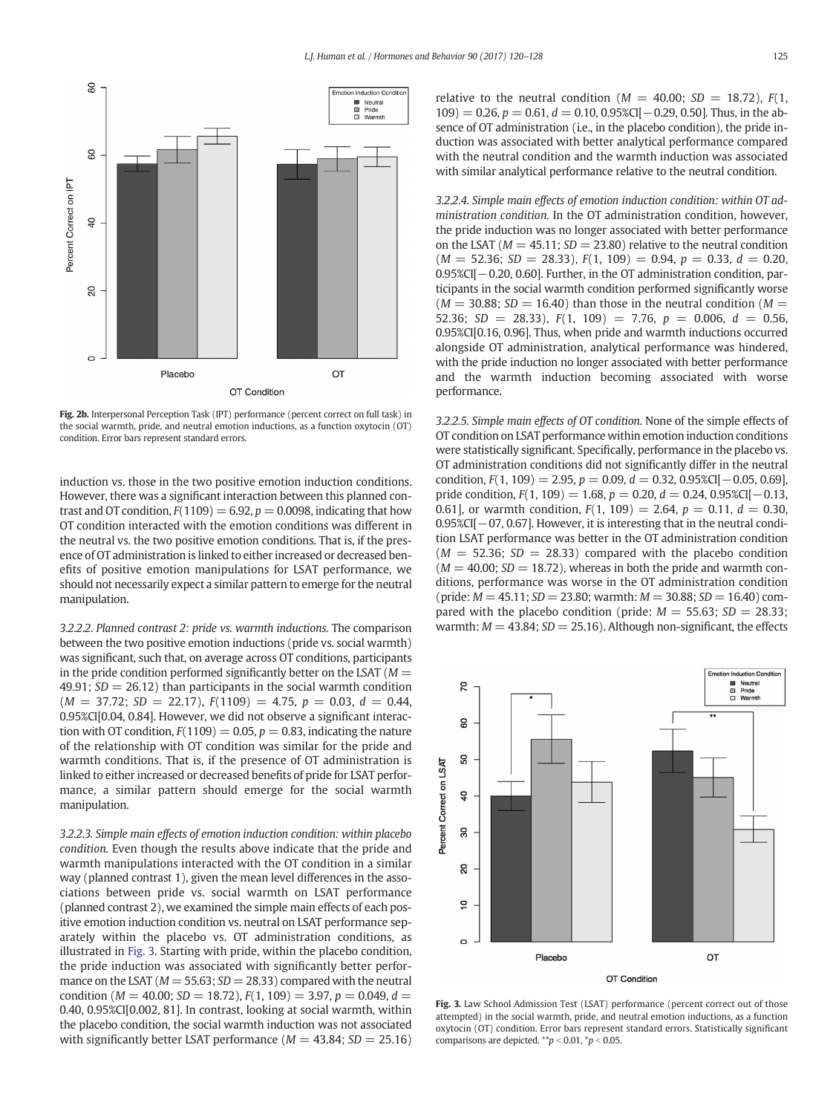<span id="page-5-0"></span>

Fig. 2b. Interpersonal Perception Task (IPT) performance (percent correct on full task) in the social warmth, pride, and neutral emotion inductions, as a function oxytocin (OT) condition. Error bars represent standard errors.

induction vs. those in the two positive emotion induction conditions. However, there was a significant interaction between this planned contrast and OT condition,  $F(1109) = 6.92$ ,  $p = 0.0098$ , indicating that how OT condition interacted with the emotion conditions was different in the neutral vs. the two positive emotion conditions. That is, if the presence of OT administration is linked to either increased or decreased benefits of positive emotion manipulations for LSAT performance, we should not necessarily expect a similar pattern to emerge for the neutral manipulation.

3.2.2.2. Planned contrast 2: pride vs. warmth inductions. The comparison between the two positive emotion inductions (pride vs. social warmth) was significant, such that, on average across OT conditions, participants in the pride condition performed significantly better on the LSAT ( $M =$ 49.91;  $SD = 26.12$ ) than participants in the social warmth condition  $(M = 37.72; SD = 22.17), F(1109) = 4.75, p = 0.03, d = 0.44,$ 0.95%CI[0.04, 0.84]. However, we did not observe a significant interaction with OT condition,  $F(1109) = 0.05$ ,  $p = 0.83$ , indicating the nature of the relationship with OT condition was similar for the pride and warmth conditions. That is, if the presence of OT administration is linked to either increased or decreased benefits of pride for LSAT performance, a similar pattern should emerge for the social warmth manipulation.

3.2.2.3. Simple main effects of emotion induction condition: within placebo condition. Even though the results above indicate that the pride and warmth manipulations interacted with the OT condition in a similar way (planned contrast 1), given the mean level differences in the associations between pride vs. social warmth on LSAT performance (planned contrast 2), we examined the simple main effects of each positive emotion induction condition vs. neutral on LSAT performance separately within the placebo vs. OT administration conditions, as illustrated in [Fig. 3](#page-6-0). Starting with pride, within the placebo condition, the pride induction was associated with significantly better performance on the LSAT ( $M = 55.63$ ;  $SD = 28.33$ ) compared with the neutral condition ( $M = 40.00$ ;  $SD = 18.72$ ),  $F(1, 109) = 3.97$ ,  $p = 0.049$ ,  $d =$ 0.40, 0.95%CI[0.002, 81]. In contrast, looking at social warmth, within the placebo condition, the social warmth induction was not associated with significantly better LSAT performance ( $M = 43.84$ ;  $SD = 25.16$ ) relative to the neutral condition ( $M = 40.00$ ;  $SD = 18.72$ ),  $F(1, 1)$  $109$ ) = 0.26, p = 0.61, d = 0.10, 0.95%CI[-0.29, 0.50]. Thus, in the absence of OT administration (i.e., in the placebo condition), the pride induction was associated with better analytical performance compared with the neutral condition and the warmth induction was associated with similar analytical performance relative to the neutral condition.

3.2.2.4. Simple main effects of emotion induction condition: within OT administration condition. In the OT administration condition, however, the pride induction was no longer associated with better performance on the LSAT ( $M = 45.11$ ;  $SD = 23.80$ ) relative to the neutral condition  $(M = 52.36; SD = 28.33), F(1, 109) = 0.94, p = 0.33, d = 0.20,$ 0.95%CI[−0.20, 0.60]. Further, in the OT administration condition, participants in the social warmth condition performed significantly worse  $(M = 30.88; SD = 16.40)$  than those in the neutral condition  $(M = 16.40)$ 52.36; SD = 28.33),  $F(1, 109) = 7.76$ ,  $p = 0.006$ ,  $d = 0.56$ , 0.95%CI[0.16, 0.96]. Thus, when pride and warmth inductions occurred alongside OT administration, analytical performance was hindered, with the pride induction no longer associated with better performance and the warmth induction becoming associated with worse performance.

3.2.2.5. Simple main effects of OT condition. None of the simple effects of OT condition on LSAT performance within emotion induction conditions were statistically significant. Specifically, performance in the placebo vs. OT administration conditions did not significantly differ in the neutral condition,  $F(1, 109) = 2.95$ ,  $p = 0.09$ ,  $d = 0.32$ ,  $0.95\%$ CI[ $-0.05$ ,  $0.69$ ], pride condition,  $F(1, 109) = 1.68$ ,  $p = 0.20$ ,  $d = 0.24$ , 0.95%CI[-0.13, 0.61], or warmth condition,  $F(1, 109) = 2.64$ ,  $p = 0.11$ ,  $d = 0.30$ , 0.95%CI[−07, 0.67]. However, it is interesting that in the neutral condition LSAT performance was better in the OT administration condition  $(M = 52.36; SD = 28.33)$  compared with the placebo condition  $(M = 40.00; SD = 18.72)$ , whereas in both the pride and warmth conditions, performance was worse in the OT administration condition (pride:  $M = 45.11$ ;  $SD = 23.80$ ; warmth:  $M = 30.88$ ;  $SD = 16.40$ ) compared with the placebo condition (pride:  $M = 55.63$ ;  $SD = 28.33$ ; warmth:  $M = 43.84$ ;  $SD = 25.16$ ). Although non-significant, the effects



Fig. 3. Law School Admission Test (LSAT) performance (percent correct out of those attempted) in the social warmth, pride, and neutral emotion inductions, as a function oxytocin (OT) condition. Error bars represent standard errors. Statistically significant comparisons are depicted.  $*^{*}p < 0.01$ ,  $*p < 0.05$ .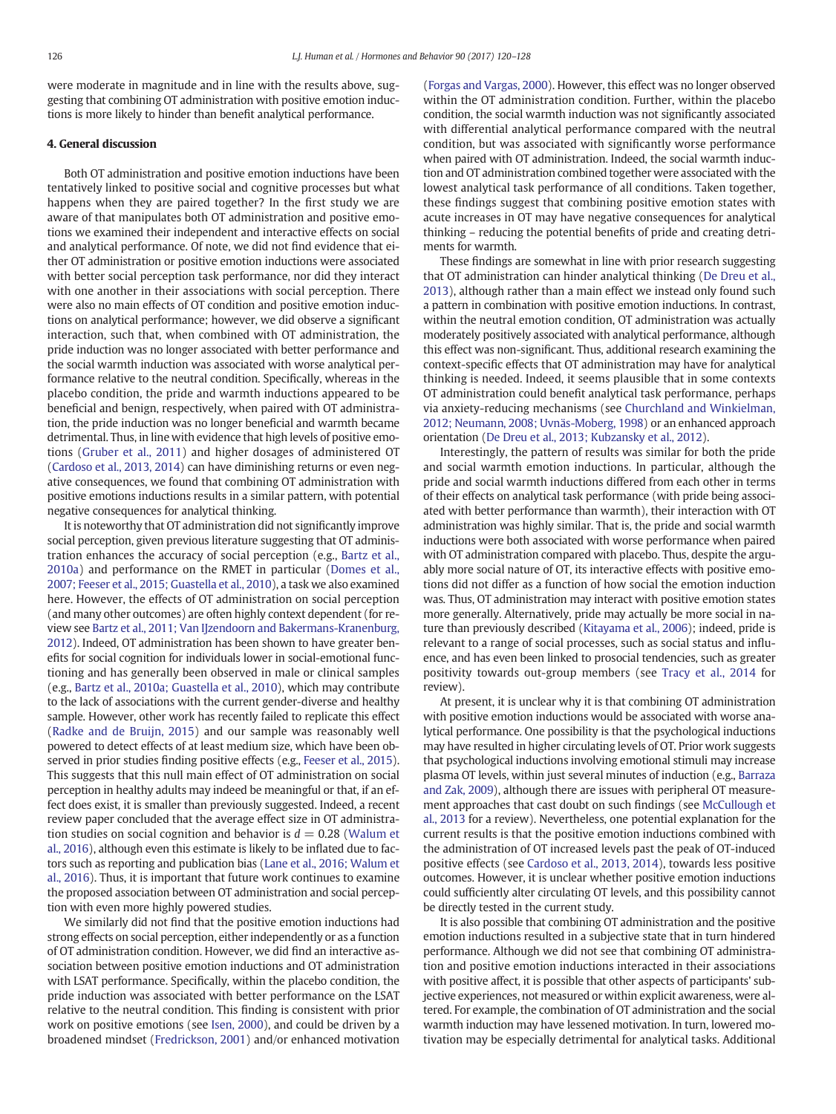<span id="page-6-0"></span>were moderate in magnitude and in line with the results above, suggesting that combining OT administration with positive emotion inductions is more likely to hinder than benefit analytical performance.

# 4. General discussion

Both OT administration and positive emotion inductions have been tentatively linked to positive social and cognitive processes but what happens when they are paired together? In the first study we are aware of that manipulates both OT administration and positive emotions we examined their independent and interactive effects on social and analytical performance. Of note, we did not find evidence that either OT administration or positive emotion inductions were associated with better social perception task performance, nor did they interact with one another in their associations with social perception. There were also no main effects of OT condition and positive emotion inductions on analytical performance; however, we did observe a significant interaction, such that, when combined with OT administration, the pride induction was no longer associated with better performance and the social warmth induction was associated with worse analytical performance relative to the neutral condition. Specifically, whereas in the placebo condition, the pride and warmth inductions appeared to be beneficial and benign, respectively, when paired with OT administration, the pride induction was no longer beneficial and warmth became detrimental. Thus, in line with evidence that high levels of positive emotions ([Gruber et al., 2011\)](#page-8-0) and higher dosages of administered OT [\(Cardoso et al., 2013, 2014](#page-8-0)) can have diminishing returns or even negative consequences, we found that combining OT administration with positive emotions inductions results in a similar pattern, with potential negative consequences for analytical thinking.

It is noteworthy that OT administration did not significantly improve social perception, given previous literature suggesting that OT administration enhances the accuracy of social perception (e.g., [Bartz et al.,](#page-8-0) [2010a](#page-8-0)) and performance on the RMET in particular ([Domes et al.,](#page-8-0) [2007; Feeser et al., 2015; Guastella et al., 2010](#page-8-0)), a task we also examined here. However, the effects of OT administration on social perception (and many other outcomes) are often highly context dependent (for review see [Bartz et al., 2011; Van IJzendoorn and Bakermans-Kranenburg,](#page-8-0) [2012\)](#page-8-0). Indeed, OT administration has been shown to have greater benefits for social cognition for individuals lower in social-emotional functioning and has generally been observed in male or clinical samples (e.g., [Bartz et al., 2010a; Guastella et al., 2010](#page-8-0)), which may contribute to the lack of associations with the current gender-diverse and healthy sample. However, other work has recently failed to replicate this effect (Radke and de Bruijn, 2015) and our sample was reasonably well powered to detect effects of at least medium size, which have been observed in prior studies finding positive effects (e.g., [Feeser et al., 2015\)](#page-8-0). This suggests that this null main effect of OT administration on social perception in healthy adults may indeed be meaningful or that, if an effect does exist, it is smaller than previously suggested. Indeed, a recent review paper concluded that the average effect size in OT administration studies on social cognition and behavior is  $d = 0.28$  (Walum et al., 2016), although even this estimate is likely to be inflated due to factors such as reporting and publication bias (Lane et al., 2016; Walum et al., 2016). Thus, it is important that future work continues to examine the proposed association between OT administration and social perception with even more highly powered studies.

We similarly did not find that the positive emotion inductions had strong effects on social perception, either independently or as a function of OT administration condition. However, we did find an interactive association between positive emotion inductions and OT administration with LSAT performance. Specifically, within the placebo condition, the pride induction was associated with better performance on the LSAT relative to the neutral condition. This finding is consistent with prior work on positive emotions (see [Isen, 2000\)](#page-8-0), and could be driven by a broadened mindset [\(Fredrickson, 2001](#page-8-0)) and/or enhanced motivation [\(Forgas and Vargas, 2000](#page-8-0)). However, this effect was no longer observed within the OT administration condition. Further, within the placebo condition, the social warmth induction was not significantly associated with differential analytical performance compared with the neutral condition, but was associated with significantly worse performance when paired with OT administration. Indeed, the social warmth induction and OT administration combined together were associated with the lowest analytical task performance of all conditions. Taken together, these findings suggest that combining positive emotion states with acute increases in OT may have negative consequences for analytical thinking – reducing the potential benefits of pride and creating detriments for warmth.

These findings are somewhat in line with prior research suggesting that OT administration can hinder analytical thinking [\(De Dreu et al.,](#page-8-0) [2013\)](#page-8-0), although rather than a main effect we instead only found such a pattern in combination with positive emotion inductions. In contrast, within the neutral emotion condition, OT administration was actually moderately positively associated with analytical performance, although this effect was non-significant. Thus, additional research examining the context-specific effects that OT administration may have for analytical thinking is needed. Indeed, it seems plausible that in some contexts OT administration could benefit analytical task performance, perhaps via anxiety-reducing mechanisms (see [Churchland and Winkielman,](#page-8-0) [2012; Neumann, 2008; Uvnäs-Moberg, 1998](#page-8-0)) or an enhanced approach orientation ([De Dreu et al., 2013; Kubzansky et al., 2012](#page-8-0)).

Interestingly, the pattern of results was similar for both the pride and social warmth emotion inductions. In particular, although the pride and social warmth inductions differed from each other in terms of their effects on analytical task performance (with pride being associated with better performance than warmth), their interaction with OT administration was highly similar. That is, the pride and social warmth inductions were both associated with worse performance when paired with OT administration compared with placebo. Thus, despite the arguably more social nature of OT, its interactive effects with positive emotions did not differ as a function of how social the emotion induction was. Thus, OT administration may interact with positive emotion states more generally. Alternatively, pride may actually be more social in nature than previously described ([Kitayama et al., 2006\)](#page-8-0); indeed, pride is relevant to a range of social processes, such as social status and influence, and has even been linked to prosocial tendencies, such as greater positivity towards out-group members (see Tracy et al., 2014 for review).

At present, it is unclear why it is that combining OT administration with positive emotion inductions would be associated with worse analytical performance. One possibility is that the psychological inductions may have resulted in higher circulating levels of OT. Prior work suggests that psychological inductions involving emotional stimuli may increase plasma OT levels, within just several minutes of induction (e.g., [Barraza](#page-8-0) [and Zak, 2009](#page-8-0)), although there are issues with peripheral OT measurement approaches that cast doubt on such findings (see McCullough et al., 2013 for a review). Nevertheless, one potential explanation for the current results is that the positive emotion inductions combined with the administration of OT increased levels past the peak of OT-induced positive effects (see [Cardoso et al., 2013, 2014](#page-8-0)), towards less positive outcomes. However, it is unclear whether positive emotion inductions could sufficiently alter circulating OT levels, and this possibility cannot be directly tested in the current study.

It is also possible that combining OT administration and the positive emotion inductions resulted in a subjective state that in turn hindered performance. Although we did not see that combining OT administration and positive emotion inductions interacted in their associations with positive affect, it is possible that other aspects of participants' subjective experiences, not measured or within explicit awareness, were altered. For example, the combination of OT administration and the social warmth induction may have lessened motivation. In turn, lowered motivation may be especially detrimental for analytical tasks. Additional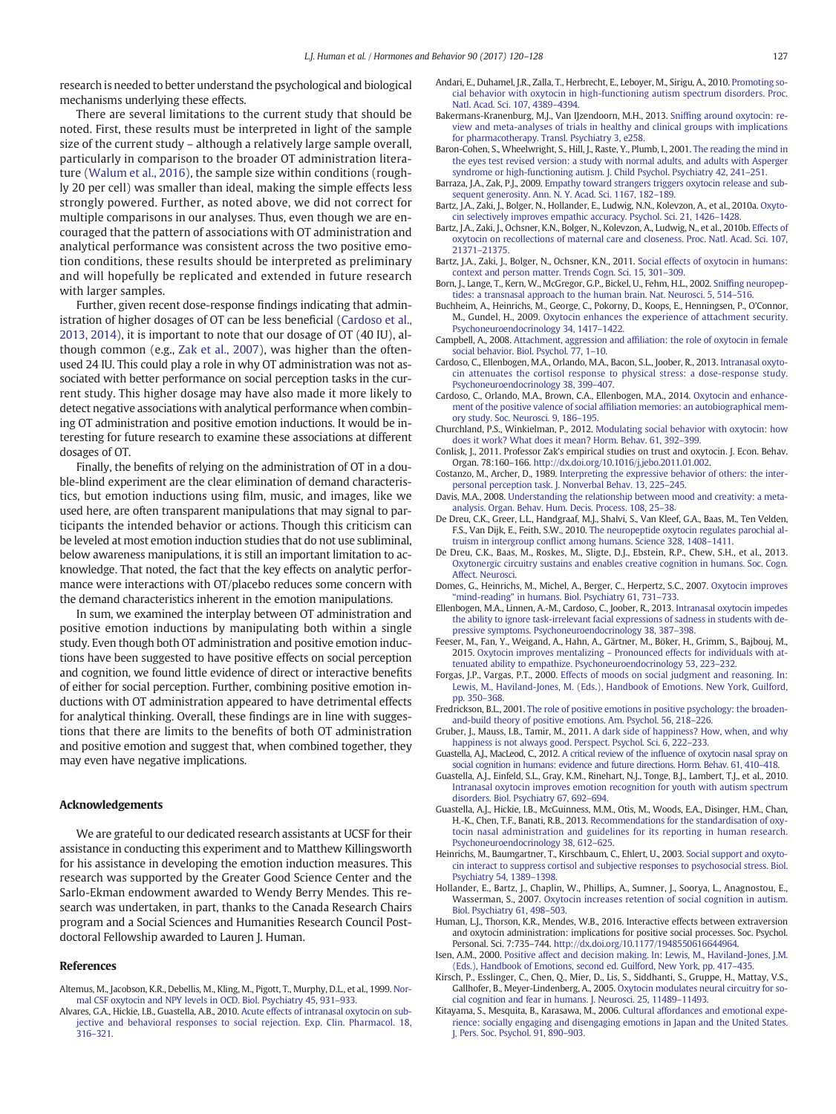research is needed to better understand the psychological and biological mechanisms underlying these effects.

There are several limitations to the current study that should be noted. First, these results must be interpreted in light of the sample size of the current study – although a relatively large sample overall, particularly in comparison to the broader OT administration literature (Walum et al., 2016), the sample size within conditions (roughly 20 per cell) was smaller than ideal, making the simple effects less strongly powered. Further, as noted above, we did not correct for multiple comparisons in our analyses. Thus, even though we are encouraged that the pattern of associations with OT administration and analytical performance was consistent across the two positive emotion conditions, these results should be interpreted as preliminary and will hopefully be replicated and extended in future research with larger samples.

Further, given recent dose-response findings indicating that administration of higher dosages of OT can be less beneficial [\(Cardoso et al.,](#page-8-0) [2013, 2014](#page-8-0)), it is important to note that our dosage of OT (40 IU), although common (e.g., Zak et al., 2007), was higher than the oftenused 24 IU. This could play a role in why OT administration was not associated with better performance on social perception tasks in the current study. This higher dosage may have also made it more likely to detect negative associations with analytical performance when combining OT administration and positive emotion inductions. It would be interesting for future research to examine these associations at different dosages of OT.

Finally, the benefits of relying on the administration of OT in a double-blind experiment are the clear elimination of demand characteristics, but emotion inductions using film, music, and images, like we used here, are often transparent manipulations that may signal to participants the intended behavior or actions. Though this criticism can be leveled at most emotion induction studies that do not use subliminal, below awareness manipulations, it is still an important limitation to acknowledge. That noted, the fact that the key effects on analytic performance were interactions with OT/placebo reduces some concern with the demand characteristics inherent in the emotion manipulations.

In sum, we examined the interplay between OT administration and positive emotion inductions by manipulating both within a single study. Even though both OT administration and positive emotion inductions have been suggested to have positive effects on social perception and cognition, we found little evidence of direct or interactive benefits of either for social perception. Further, combining positive emotion inductions with OT administration appeared to have detrimental effects for analytical thinking. Overall, these findings are in line with suggestions that there are limits to the benefits of both OT administration and positive emotion and suggest that, when combined together, they may even have negative implications.

## Acknowledgements

We are grateful to our dedicated research assistants at UCSF for their assistance in conducting this experiment and to Matthew Killingsworth for his assistance in developing the emotion induction measures. This research was supported by the Greater Good Science Center and the Sarlo-Ekman endowment awarded to Wendy Berry Mendes. This research was undertaken, in part, thanks to the Canada Research Chairs program and a Social Sciences and Humanities Research Council Postdoctoral Fellowship awarded to Lauren J. Human.

#### References

- Altemus, M., Jacobson, K.R., Debellis, M., Kling, M., Pigott, T., Murphy, D.L., et al., 1999. [Nor](http://refhub.elsevier.com/S0018-506X(15)30183-5/rf0005)[mal CSF oxytocin and NPY levels in OCD. Biol. Psychiatry 45, 931](http://refhub.elsevier.com/S0018-506X(15)30183-5/rf0005)–933.
- Alvares, G.A., Hickie, I.B., Guastella, A.B., 2010. [Acute effects of intranasal oxytocin on sub](http://refhub.elsevier.com/S0018-506X(15)30183-5/rf0010)[jective and behavioral responses to social rejection. Exp. Clin. Pharmacol. 18,](http://refhub.elsevier.com/S0018-506X(15)30183-5/rf0010) [316](http://refhub.elsevier.com/S0018-506X(15)30183-5/rf0010)–321.
- Andari, E., Duhamel, J.R., Zalla, T., Herbrecht, E., Leboyer, M., Sirigu, A., 2010. [Promoting so](http://refhub.elsevier.com/S0018-506X(15)30183-5/rf0015)[cial behavior with oxytocin in high-functioning autism spectrum disorders. Proc.](http://refhub.elsevier.com/S0018-506X(15)30183-5/rf0015) [Natl. Acad. Sci. 107, 4389](http://refhub.elsevier.com/S0018-506X(15)30183-5/rf0015)–4394.
- Bakermans-Kranenburg, M.J., Van IJzendoorn, M.H., 2013. Sniffi[ng around oxytocin: re](http://refhub.elsevier.com/S0018-506X(15)30183-5/rf0020)[view and meta-analyses of trials in healthy and clinical groups with implications](http://refhub.elsevier.com/S0018-506X(15)30183-5/rf0020) [for pharmacotherapy. Transl. Psychiatry 3, e258](http://refhub.elsevier.com/S0018-506X(15)30183-5/rf0020).
- Baron-Cohen, S., Wheelwright, S., Hill, J., Raste, Y., Plumb, I., 2001. [The reading the mind in](http://refhub.elsevier.com/S0018-506X(15)30183-5/rf0025) [the eyes test revised version: a study with normal adults, and adults with Asperger](http://refhub.elsevier.com/S0018-506X(15)30183-5/rf0025) [syndrome or high-functioning autism. J. Child Psychol. Psychiatry 42, 241](http://refhub.elsevier.com/S0018-506X(15)30183-5/rf0025)–251.
- Barraza, J.A., Zak, P.J., 2009. [Empathy toward strangers triggers oxytocin release and sub](http://refhub.elsevier.com/S0018-506X(15)30183-5/rf0030)[sequent generosity. Ann. N. Y. Acad. Sci. 1167, 182](http://refhub.elsevier.com/S0018-506X(15)30183-5/rf0030)–189.
- Bartz, J.A., Zaki, J., Bolger, N., Hollander, E., Ludwig, N.N., Kolevzon, A., et al., 2010a. [Oxyto](http://refhub.elsevier.com/S0018-506X(15)30183-5/rf0035)[cin selectively improves empathic accuracy. Psychol. Sci. 21, 1426](http://refhub.elsevier.com/S0018-506X(15)30183-5/rf0035)–1428.
- Bartz, J.A., Zaki, J., Ochsner, K.N., Bolger, N., Kolevzon, A., Ludwig, N., et al., 2010b. [Effects of](http://refhub.elsevier.com/S0018-506X(15)30183-5/rf0040) [oxytocin on recollections of maternal care and closeness. Proc. Natl. Acad. Sci. 107,](http://refhub.elsevier.com/S0018-506X(15)30183-5/rf0040) 21371–[21375.](http://refhub.elsevier.com/S0018-506X(15)30183-5/rf0040)
- Bartz, J.A., Zaki, J., Bolger, N., Ochsner, K.N., 2011. [Social effects of oxytocin in humans:](http://refhub.elsevier.com/S0018-506X(15)30183-5/rf0045) [context and person matter. Trends Cogn. Sci. 15, 301](http://refhub.elsevier.com/S0018-506X(15)30183-5/rf0045)–309.
- Born, J., Lange, T., Kern, W., McGregor, G.P., Bickel, U., Fehm, H.L., 2002. Sniffi[ng neuropep](http://refhub.elsevier.com/S0018-506X(15)30183-5/rf0050)[tides: a transnasal approach to the human brain. Nat. Neurosci. 5, 514](http://refhub.elsevier.com/S0018-506X(15)30183-5/rf0050)–516.
- Buchheim, A., Heinrichs, M., George, C., Pokorny, D., Koops, E., Henningsen, P., O'Connor, M., Gundel, H., 2009. [Oxytocin enhances the experience of attachment security.](http://refhub.elsevier.com/S0018-506X(15)30183-5/rf0055) [Psychoneuroendocrinology 34, 1417](http://refhub.elsevier.com/S0018-506X(15)30183-5/rf0055)–1422.
- Campbell, A., 2008. Attachment, aggression and affi[liation: the role of oxytocin in female](http://refhub.elsevier.com/S0018-506X(15)30183-5/rf0060) [social behavior. Biol. Psychol. 77, 1](http://refhub.elsevier.com/S0018-506X(15)30183-5/rf0060)–10.
- Cardoso, C., Ellenbogen, M.A., Orlando, M.A., Bacon, S.L., Joober, R., 2013. [Intranasal oxyto](http://refhub.elsevier.com/S0018-506X(15)30183-5/rf0065)[cin attenuates the cortisol response to physical stress: a dose-response study.](http://refhub.elsevier.com/S0018-506X(15)30183-5/rf0065) [Psychoneuroendocrinology 38, 399](http://refhub.elsevier.com/S0018-506X(15)30183-5/rf0065)–407.
- Cardoso, C., Orlando, M.A., Brown, C.A., Ellenbogen, M.A., 2014. [Oxytocin and enhance](http://refhub.elsevier.com/S0018-506X(15)30183-5/rf0070)ment of the positive valence of social affi[liation memories: an autobiographical mem](http://refhub.elsevier.com/S0018-506X(15)30183-5/rf0070)[ory study. Soc. Neurosci. 9, 186](http://refhub.elsevier.com/S0018-506X(15)30183-5/rf0070)–195.
- Churchland, P.S., Winkielman, P., 2012. [Modulating social behavior with oxytocin: how](http://refhub.elsevier.com/S0018-506X(15)30183-5/rf0075) [does it work? What does it mean? Horm. Behav. 61, 392](http://refhub.elsevier.com/S0018-506X(15)30183-5/rf0075)–399.
- Conlisk, J., 2011. Professor Zak's empirical studies on trust and oxytocin. J. Econ. Behav. Organ. 78:160–166. http://dx.doi.org[/10.1016/j.jebo.2011.01.002](http://dx.doi.org/10.1016/j.jebo.2011.01.002).
- Costanzo, M., Archer, D., 1989. [Interpreting the expressive behavior of others: the inter](http://refhub.elsevier.com/S0018-506X(15)30183-5/rf0085)[personal perception task. J. Nonverbal Behav. 13, 225](http://refhub.elsevier.com/S0018-506X(15)30183-5/rf0085)–245.
- Davis, M.A., 2008. [Understanding the relationship between mood and creativity: a meta](http://refhub.elsevier.com/S0018-506X(15)30183-5/rf0090)[analysis. Organ. Behav. Hum. Decis. Process. 108, 25](http://refhub.elsevier.com/S0018-506X(15)30183-5/rf0090)–38.
- De Dreu, C.K., Greer, L.L., Handgraaf, M.J., Shalvi, S., Van Kleef, G.A., Baas, M., Ten Velden, F.S., Van Dijk, E., Feith, S.W., 2010. [The neuropeptide oxytocin regulates parochial al](http://refhub.elsevier.com/S0018-506X(15)30183-5/rf0095)truism in intergroup confl[ict among humans. Science 328, 1408](http://refhub.elsevier.com/S0018-506X(15)30183-5/rf0095)–1411.
- De Dreu, C.K., Baas, M., Roskes, M., Sligte, D.J., Ebstein, R.P., Chew, S.H., et al., 2013. [Oxytonergic circuitry sustains and enables creative cognition in humans. Soc. Cogn.](http://refhub.elsevier.com/S0018-506X(15)30183-5/rf0100) [Affect. Neurosci.](http://refhub.elsevier.com/S0018-506X(15)30183-5/rf0100)
- Domes, G., Heinrichs, M., Michel, A., Berger, C., Herpertz, S.C., 2007. [Oxytocin improves](http://refhub.elsevier.com/S0018-506X(15)30183-5/rf0105) "mind-reading" [in humans. Biol. Psychiatry 61, 731](http://refhub.elsevier.com/S0018-506X(15)30183-5/rf0105)–733.
- Ellenbogen, M.A., Linnen, A.-M., Cardoso, C., Joober, R., 2013. [Intranasal oxytocin impedes](http://refhub.elsevier.com/S0018-506X(15)30183-5/rf0110) [the ability to ignore task-irrelevant facial expressions of sadness in students with de](http://refhub.elsevier.com/S0018-506X(15)30183-5/rf0110)[pressive symptoms. Psychoneuroendocrinology 38, 387](http://refhub.elsevier.com/S0018-506X(15)30183-5/rf0110)–398.
- Feeser, M., Fan, Y., Weigand, A., Hahn, A., Gärtner, M., Böker, H., Grimm, S., Bajbouj, M., 2015. Oxytocin improves mentalizing – [Pronounced effects for individuals with at](http://refhub.elsevier.com/S0018-506X(15)30183-5/rf9100)[tenuated ability to empathize. Psychoneuroendocrinology 53, 223](http://refhub.elsevier.com/S0018-506X(15)30183-5/rf9100)–232.
- Forgas, J.P., Vargas, P.T., 2000. [Effects of moods on social judgment and reasoning. In:](http://refhub.elsevier.com/S0018-506X(15)30183-5/rf0115) [Lewis, M., Haviland-Jones, M. \(Eds.\), Handbook of Emotions. New York, Guilford,](http://refhub.elsevier.com/S0018-506X(15)30183-5/rf0115) [pp. 350](http://refhub.elsevier.com/S0018-506X(15)30183-5/rf0115)–368.
- Fredrickson, B.L., 2001. [The role of positive emotions in positive psychology: the broaden](http://refhub.elsevier.com/S0018-506X(15)30183-5/rf0120)[and-build theory of positive emotions. Am. Psychol. 56, 218](http://refhub.elsevier.com/S0018-506X(15)30183-5/rf0120)–226.
- Gruber, J., Mauss, I.B., Tamir, M., 2011. [A dark side of happiness? How, when, and why](http://refhub.elsevier.com/S0018-506X(15)30183-5/rf0125) [happiness is not always good. Perspect. Psychol. Sci. 6, 222](http://refhub.elsevier.com/S0018-506X(15)30183-5/rf0125)–233.
- Guastella, A.J., MacLeod, C., 2012. A critical review of the infl[uence of oxytocin nasal spray on](http://refhub.elsevier.com/S0018-506X(15)30183-5/rf0130) [social cognition in humans: evidence and future directions. Horm. Behav. 61, 410](http://refhub.elsevier.com/S0018-506X(15)30183-5/rf0130)–418.
- Guastella, A.J., Einfeld, S.L., Gray, K.M., Rinehart, N.J., Tonge, B.J., Lambert, T.J., et al., 2010. [Intranasal oxytocin improves emotion recognition for youth with autism spectrum](http://refhub.elsevier.com/S0018-506X(15)30183-5/rf0135) [disorders. Biol. Psychiatry 67, 692](http://refhub.elsevier.com/S0018-506X(15)30183-5/rf0135)–694.
- Guastella, A.J., Hickie, I.B., McGuinness, M.M., Otis, M., Woods, E.A., Disinger, H.M., Chan, H.-K., Chen, T.F., Banati, R.B., 2013. [Recommendations for the standardisation of oxy](http://refhub.elsevier.com/S0018-506X(15)30183-5/rf0140)[tocin nasal administration and guidelines for its reporting in human research.](http://refhub.elsevier.com/S0018-506X(15)30183-5/rf0140) [Psychoneuroendocrinology 38, 612](http://refhub.elsevier.com/S0018-506X(15)30183-5/rf0140)–625.
- Heinrichs, M., Baumgartner, T., Kirschbaum, C., Ehlert, U., 2003. [Social support and oxyto](http://refhub.elsevier.com/S0018-506X(15)30183-5/rf0145)[cin interact to suppress cortisol and subjective responses to psychosocial stress. Biol.](http://refhub.elsevier.com/S0018-506X(15)30183-5/rf0145) [Psychiatry 54, 1389](http://refhub.elsevier.com/S0018-506X(15)30183-5/rf0145)–1398.
- Hollander, E., Bartz, J., Chaplin, W., Phillips, A., Sumner, J., Soorya, L., Anagnostou, E., Wasserman, S., 2007. [Oxytocin increases retention of social cognition in autism.](http://refhub.elsevier.com/S0018-506X(15)30183-5/rf0150) [Biol. Psychiatry 61, 498](http://refhub.elsevier.com/S0018-506X(15)30183-5/rf0150)–503.
- Human, L.J., Thorson, K.R., Mendes, W.B., 2016. Interactive effects between extraversion and oxytocin administration: implications for positive social processes. Soc. Psychol. Personal. Sci. 7:735–744. http://dx.doi.org/[10.1177/1948550616644964](http://dx.doi.org/10.1177/1948550616644964).
- Isen, A.M., 2000. [Positive affect and decision making. In: Lewis, M., Haviland-Jones, J.M.](http://refhub.elsevier.com/S0018-506X(15)30183-5/rf0160) [\(Eds.\), Handbook of Emotions, second ed. Guilford, New York, pp. 417](http://refhub.elsevier.com/S0018-506X(15)30183-5/rf0160)–435.
- Kirsch, P., Esslinger, C., Chen, Q., Mier, D., Lis, S., Siddhanti, S., Gruppe, H., Mattay, V.S., Gallhofer, B., Meyer-Lindenberg, A., 2005. [Oxytocin modulates neural circuitry for so](http://refhub.elsevier.com/S0018-506X(15)30183-5/rf0165)[cial cognition and fear in humans. J. Neurosci. 25, 11489](http://refhub.elsevier.com/S0018-506X(15)30183-5/rf0165)–11493.
- Kitayama, S., Mesquita, B., Karasawa, M., 2006. [Cultural affordances and emotional expe](http://refhub.elsevier.com/S0018-506X(15)30183-5/rf0170)[rience: socially engaging and disengaging emotions in Japan and the United States.](http://refhub.elsevier.com/S0018-506X(15)30183-5/rf0170) J. [Pers. Soc. Psychol. 91, 890](http://refhub.elsevier.com/S0018-506X(15)30183-5/rf0170)–903.